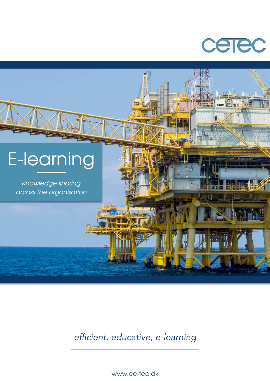



*efficient, educative, e-learning*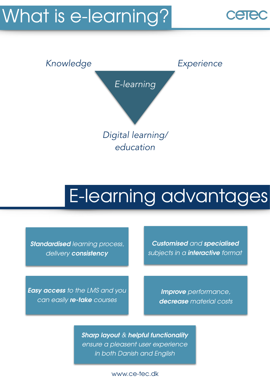# What is e-learning?



### E-learning advantages

*Standardised learning process, delivery consistency* 

*Customised and specialised subjects in a interactive format*

*Easy access to the LMS and you can easily re-take courses*

*Improve performance, decrease material costs*

*Sharp layout & helpful functionality ensure a pleasent user experience in both Danish and English*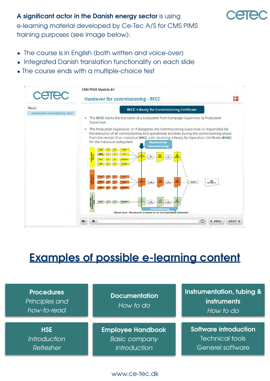### A significant actor in the Danish energy sector is using e-learning material developed by Ce-Tec A/S for CMS PIMS training purposes (see image below):

- The course is in English (both written and voice-over)
- Integrated Danish translation functionality on each slide
- The course ends with a multiple-choice test



### **Examples of possible e-learning content**

| <b>Procedures</b><br>Principles and<br>how-to-read | <b>Documentation</b><br>How to do | Instrumentation, tubing &<br>instruments<br>How to do |
|----------------------------------------------------|-----------------------------------|-------------------------------------------------------|
| <b>HSE</b>                                         | <b>Employee Handbook</b>          | <b>Software introduction</b>                          |
| <b>Introduction</b>                                | <b>Basic company</b>              | Technical tools                                       |
| Refresher                                          | introduction                      | Generel software                                      |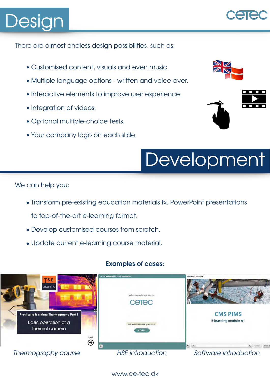# Design

There are almost endless design possibilities, such as:

- *•* Customised content, visuals and even music.
- *•* Multiple language options written and voice-over.
- *•* Interactive elements to improve user experience.
- *•* Integration of videos.
- *•* Optional multiple-choice tests.
- *•* Your company logo on each slide.





## Development

We can help you:

- Transform pre-existing education materials fx. PowerPoint presentations to top-of-the-art e-learning format.
- Develop customised courses from scratch.
- Update current e-learning course material.

### **Examples of cases:**